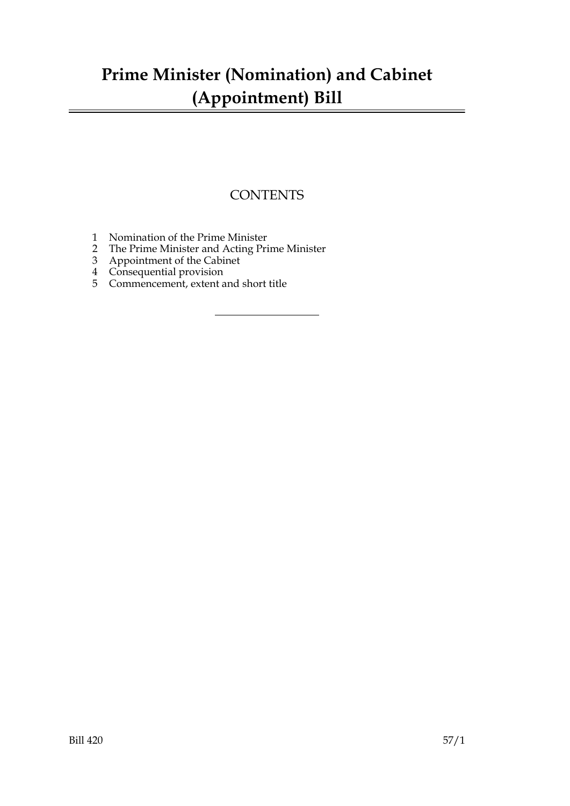## **Prime Minister (Nomination) and Cabinet (Appointment) Bill**

### **CONTENTS**

- 1 Nomination of the Prime Minister
- 2 The Prime Minister and Acting Prime Minister
- 3 Appointment of the Cabinet
- 4 Consequential provision
- 5 Commencement, extent and short title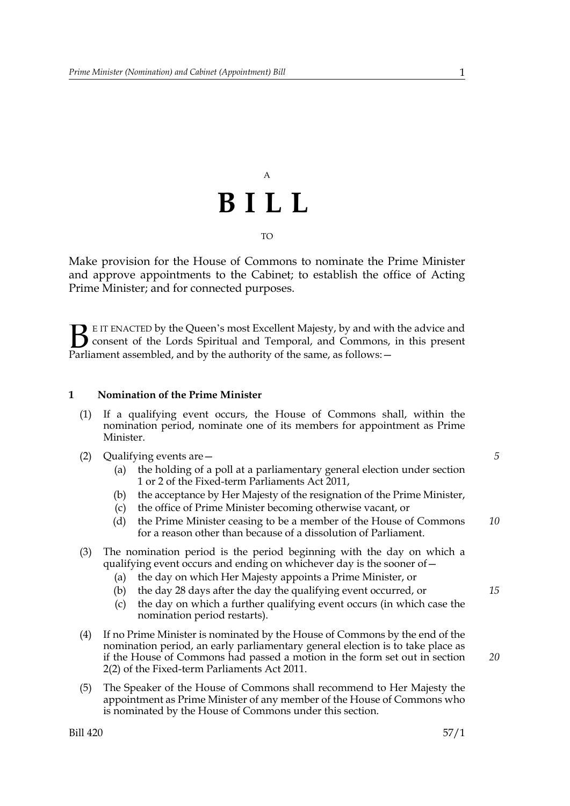# A **BILL** TO

Make provision for the House of Commons to nominate the Prime Minister and approve appointments to the Cabinet; to establish the office of Acting Prime Minister; and for connected purposes.

E IT ENACTED by the Queen's most Excellent Majesty, by and with the advice and consent of the Lords Spiritual and Temporal, and Commons, in this present Parliament assembled, and by the authority of the same, as follows: - $\mathbf{B}_{\text{e}$ 

#### **1 Nomination of the Prime Minister**

- (1) If a qualifying event occurs, the House of Commons shall, within the nomination period, nominate one of its members for appointment as Prime Minister.
- (2) Qualifying events are—
	- (a) the holding of a poll at a parliamentary general election under section 1 or 2 of the Fixed-term Parliaments Act 2011,
	- (b) the acceptance by Her Majesty of the resignation of the Prime Minister,
	- (c) the office of Prime Minister becoming otherwise vacant, or
	- (d) the Prime Minister ceasing to be a member of the House of Commons for a reason other than because of a dissolution of Parliament. *10*

#### (3) The nomination period is the period beginning with the day on which a qualifying event occurs and ending on whichever day is the sooner of—

- (a) the day on which Her Majesty appoints a Prime Minister, or
- (b) the day 28 days after the day the qualifying event occurred, or
- (c) the day on which a further qualifying event occurs (in which case the nomination period restarts).
- (4) If no Prime Minister is nominated by the House of Commons by the end of the nomination period, an early parliamentary general election is to take place as if the House of Commons had passed a motion in the form set out in section 2(2) of the Fixed-term Parliaments Act 2011.
- (5) The Speaker of the House of Commons shall recommend to Her Majesty the appointment as Prime Minister of any member of the House of Commons who is nominated by the House of Commons under this section.

*5*

*15*

*20*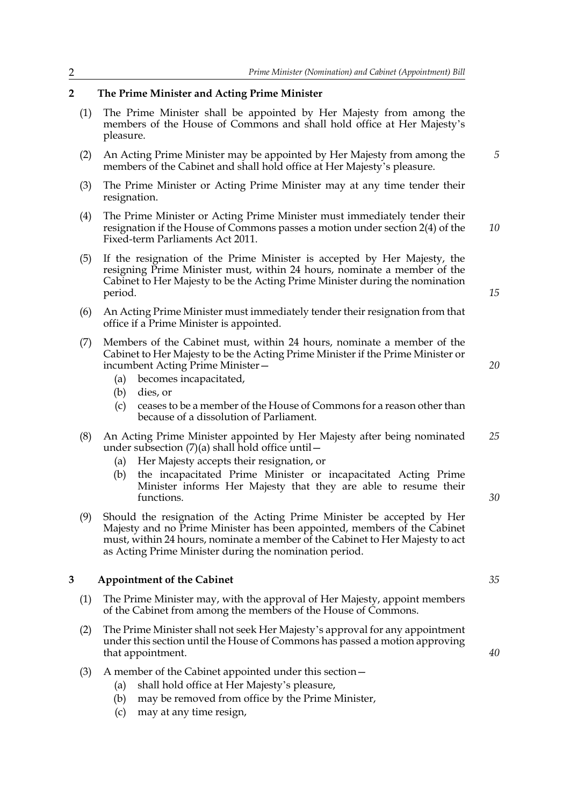#### **2 The Prime Minister and Acting Prime Minister**

- (1) The Prime Minister shall be appointed by Her Majesty from among the members of the House of Commons and shall hold office at Her Majesty's pleasure.
- (2) An Acting Prime Minister may be appointed by Her Majesty from among the members of the Cabinet and shall hold office at Her Majesty's pleasure.
- (3) The Prime Minister or Acting Prime Minister may at any time tender their resignation.
- (4) The Prime Minister or Acting Prime Minister must immediately tender their resignation if the House of Commons passes a motion under section 2(4) of the Fixed-term Parliaments Act 2011. *10*
- (5) If the resignation of the Prime Minister is accepted by Her Majesty, the resigning Prime Minister must, within 24 hours, nominate a member of the Cabinet to Her Majesty to be the Acting Prime Minister during the nomination period.
- (6) An Acting Prime Minister must immediately tender their resignation from that office if a Prime Minister is appointed.
- (7) Members of the Cabinet must, within 24 hours, nominate a member of the Cabinet to Her Majesty to be the Acting Prime Minister if the Prime Minister or incumbent Acting Prime Minister—
	- (a) becomes incapacitated,
	- (b) dies, or
	- (c) ceases to be a member of the House of Commons for a reason other than because of a dissolution of Parliament.
- (8) An Acting Prime Minister appointed by Her Majesty after being nominated under subsection  $(7)(a)$  shall hold office until  $-$ *25*
	- (a) Her Majesty accepts their resignation, or
	- (b) the incapacitated Prime Minister or incapacitated Acting Prime Minister informs Her Majesty that they are able to resume their functions.
- (9) Should the resignation of the Acting Prime Minister be accepted by Her Majesty and no Prime Minister has been appointed, members of the Cabinet must, within 24 hours, nominate a member of the Cabinet to Her Majesty to act as Acting Prime Minister during the nomination period.

#### **3 Appointment of the Cabinet**

- (1) The Prime Minister may, with the approval of Her Majesty, appoint members of the Cabinet from among the members of the House of Commons.
- (2) The Prime Minister shall not seek Her Majesty's approval for any appointment under this section until the House of Commons has passed a motion approving that appointment.
- (3) A member of the Cabinet appointed under this section—
	- (a) shall hold office at Her Majesty's pleasure,
	- (b) may be removed from office by the Prime Minister,
	- (c) may at any time resign,

*35*

*40*

*30*

### *20*

*15*

*5*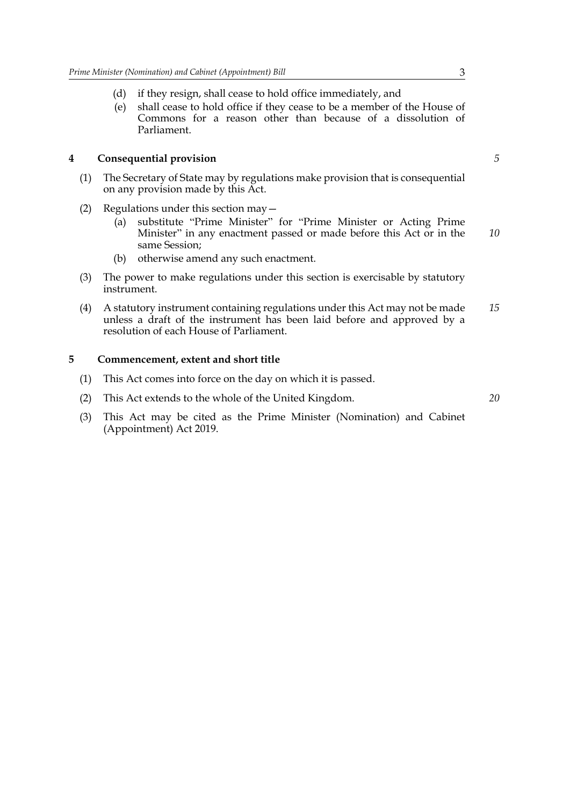- (d) if they resign, shall cease to hold office immediately, and
- (e) shall cease to hold office if they cease to be a member of the House of Commons for a reason other than because of a dissolution of Parliament.

#### **4 Consequential provision**

- (1) The Secretary of State may by regulations make provision that is consequential on any provision made by this Act.
- (2) Regulations under this section may—
	- (a) substitute "Prime Minister" for "Prime Minister or Acting Prime Minister" in any enactment passed or made before this Act or in the same Session; *10*
	- (b) otherwise amend any such enactment.
- (3) The power to make regulations under this section is exercisable by statutory instrument.
- (4) A statutory instrument containing regulations under this Act may not be made unless a draft of the instrument has been laid before and approved by a resolution of each House of Parliament. *15*

#### **5 Commencement, extent and short title**

- (1) This Act comes into force on the day on which it is passed.
- (2) This Act extends to the whole of the United Kingdom.
- (3) This Act may be cited as the Prime Minister (Nomination) and Cabinet (Appointment) Act 2019.

*5*

*20*